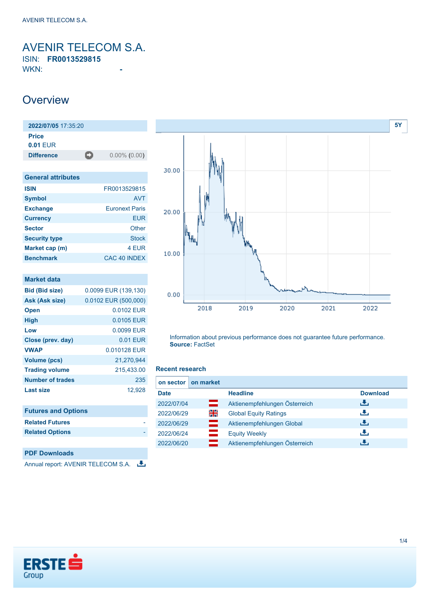<span id="page-0-0"></span>AVENIR TELECOM S.A. ISIN: **FR0013529815**

WKN: **-**

### **Overview**

| 2022/07/05 17:35:20        |   |                 |
|----------------------------|---|-----------------|
| <b>Price</b><br>$0.01$ FUR |   |                 |
| <b>Difference</b>          | о | $0.00\%$ (0.00) |

| <b>General attributes</b> |                       |
|---------------------------|-----------------------|
| <b>ISIN</b>               | FR0013529815          |
| <b>Symbol</b>             | <b>AVT</b>            |
| <b>Exchange</b>           | <b>Euronext Paris</b> |
| <b>Currency</b>           | FUR                   |
| <b>Sector</b>             | Other                 |
| <b>Security type</b>      | <b>Stock</b>          |
| Market cap (m)            | 4 FUR                 |
| <b>Benchmark</b>          | CAC 40 INDEX          |

| Market data                |                        |
|----------------------------|------------------------|
| <b>Bid (Bid size)</b>      | 0.0099 EUR (139,130)   |
| Ask (Ask size)             | $0.0102$ EUR (500,000) |
| <b>Open</b>                | 0.0102 EUR             |
| High                       | 0.0105 EUR             |
| Low                        | 0.0099 EUR             |
| Close (prev. day)          | 0.01 EUR               |
| <b>VWAP</b>                | 0.010128 EUR           |
| Volume (pcs)               | 21,270,944             |
| <b>Trading volume</b>      | 215,433.00             |
| Number of trades           | 235                    |
| <b>Last size</b>           | 12,928                 |
|                            |                        |
| <b>Futures and Options</b> |                        |
| <b>Related Futures</b>     |                        |

**PDF Downloads**

**Related Options** 

Annual report: AVENIR TELECOM S.A.



Information about previous performance does not guarantee future performance. **Source:** FactSet

#### **Recent research**

| on sector   | on market |                               |                 |
|-------------|-----------|-------------------------------|-----------------|
| <b>Date</b> |           | <b>Headline</b>               | <b>Download</b> |
| 2022/07/04  | =         | Aktienempfehlungen Österreich | رالى            |
| 2022/06/29  | 읡         | <b>Global Equity Ratings</b>  | æ,              |
| 2022/06/29  | $=$       | Aktienempfehlungen Global     | رالى            |
| 2022/06/24  | $=$       | <b>Equity Weekly</b>          | æ,              |
| 2022/06/20  |           | Aktienempfehlungen Österreich | J.              |

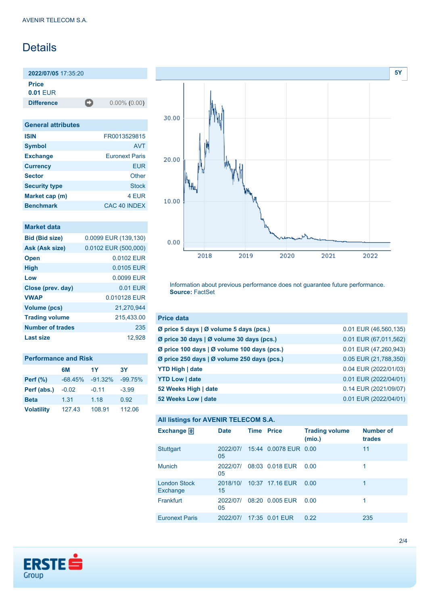# Details

**2022/07/05** 17:35:20

**Price**

**0.01** EUR

**Difference** 0.00% (0.00)

| <b>General attributes</b> |                       |  |  |  |
|---------------------------|-----------------------|--|--|--|
| <b>ISIN</b>               | FR0013529815          |  |  |  |
| <b>Symbol</b>             | <b>AVT</b>            |  |  |  |
| <b>Exchange</b>           | <b>Furonext Paris</b> |  |  |  |
| <b>Currency</b>           | EUR                   |  |  |  |
| <b>Sector</b>             | Other                 |  |  |  |
| <b>Security type</b>      | <b>Stock</b>          |  |  |  |
| Market cap (m)            | 4 EUR                 |  |  |  |
| <b>Benchmark</b>          | CAC 40 INDEX          |  |  |  |

#### **Market data**

| <b>Bid (Bid size)</b>   | 0.0099 EUR (139,130) |
|-------------------------|----------------------|
| Ask (Ask size)          | 0.0102 EUR (500,000) |
| <b>Open</b>             | 0.0102 EUR           |
| <b>High</b>             | 0.0105 EUR           |
| Low                     | 0.0099 EUR           |
| Close (prev. day)       | $0.01$ FUR           |
| <b>VWAP</b>             | 0.010128 FUR         |
| <b>Volume (pcs)</b>     | 21,270,944           |
| <b>Trading volume</b>   | 215,433.00           |
| <b>Number of trades</b> | 235                  |
| Last size               | 12.928               |

| <b>Performance and Risk</b> |           |           |           |  |  |
|-----------------------------|-----------|-----------|-----------|--|--|
|                             | 6M        | 1Y        | 3Υ        |  |  |
| <b>Perf</b> (%)             | $-68.45%$ | $-91.32%$ | $-99.75%$ |  |  |
| Perf (abs.)                 | $-0.02$   | $-0.11$   | $-3.99$   |  |  |
| <b>Beta</b>                 | 1.31      | 1.18      | 0.92      |  |  |
| <b>Volatility</b>           | 127.43    | 108.91    | 112.06    |  |  |



Information about previous performance does not guarantee future performance. **Source:** FactSet

| <b>Price data</b>                           |                       |
|---------------------------------------------|-----------------------|
| Ø price 5 days   Ø volume 5 days (pcs.)     | 0.01 EUR (46,560,135) |
| Ø price 30 days   Ø volume 30 days (pcs.)   | 0.01 EUR (67,011,562) |
| Ø price 100 days   Ø volume 100 days (pcs.) | 0.01 EUR (47,260,943) |
| Ø price 250 days   Ø volume 250 days (pcs.) | 0.05 EUR (21,788,350) |
| <b>YTD High   date</b>                      | 0.04 EUR (2022/01/03) |
| <b>YTD Low   date</b>                       | 0.01 EUR (2022/04/01) |
| 52 Weeks High   date                        | 0.14 EUR (2021/09/07) |
| 52 Weeks Low   date                         | 0.01 EUR (2022/04/01) |

#### **All listings for AVENIR TELECOM S.A.**

| Exchange 日                      | <b>Date</b>    | <b>Time Price</b> |                       | <b>Trading volume</b><br>(mio.) | <b>Number of</b><br>trades |
|---------------------------------|----------------|-------------------|-----------------------|---------------------------------|----------------------------|
| <b>Stuttgart</b>                | 2022/07/<br>05 |                   | 15:44 0.0078 EUR 0.00 |                                 | 11                         |
| <b>Munich</b>                   | 2022/07/<br>05 |                   | 08:03 0.018 EUR       | 0.00                            | 1                          |
| <b>London Stock</b><br>Exchange | 2018/10/<br>15 |                   | 10:37 17.16 EUR       | 0.00                            | 1                          |
| Frankfurt                       | 2022/07/<br>05 |                   | 08:20 0.005 EUR       | 0.00                            |                            |
| <b>Euronext Paris</b>           | 2022/07/       |                   | 17:35 0.01 EUR        | 0.22                            | 235                        |

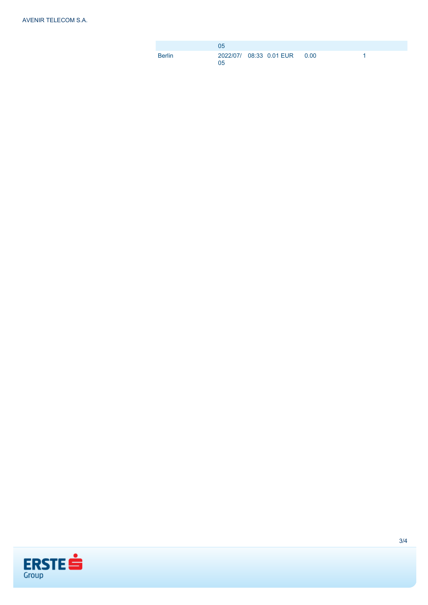|        | 05             |                              |  |
|--------|----------------|------------------------------|--|
| Berlin | 0 <sub>5</sub> | 2022/07/ 08:33 0.01 EUR 0.00 |  |